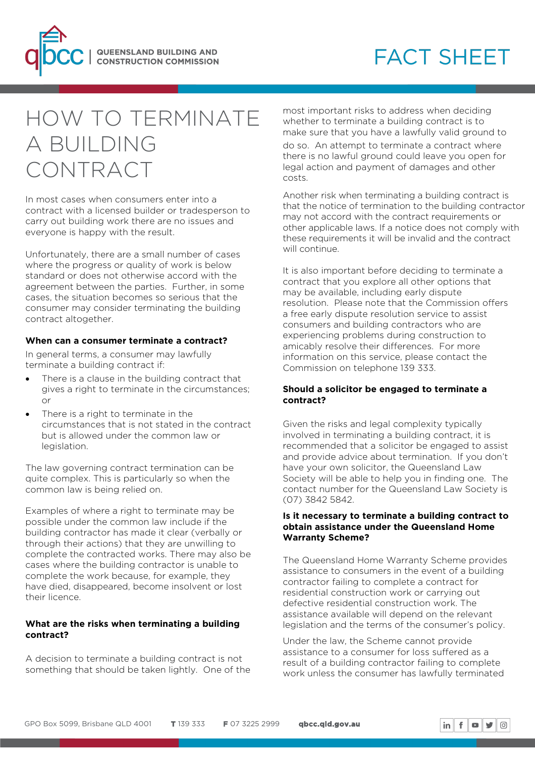

# **FACT SHEET**

# HOW TO TERMINATE A BUILDING CONTRACT

In most cases when consumers enter into a contract with a licensed builder or tradesperson to carry out building work there are no issues and everyone is happy with the result.

Unfortunately, there are a small number of cases where the progress or quality of work is below standard or does not otherwise accord with the agreement between the parties. Further, in some cases, the situation becomes so serious that the consumer may consider terminating the building contract altogether.

#### **When can a consumer terminate a contract?**

In general terms, a consumer may lawfully terminate a building contract if:

- There is a clause in the building contract that gives a right to terminate in the circumstances; or
- There is a right to terminate in the circumstances that is not stated in the contract but is allowed under the common law or legislation.

The law governing contract termination can be quite complex. This is particularly so when the common law is being relied on.

Examples of where a right to terminate may be possible under the common law include if the building contractor has made it clear (verbally or through their actions) that they are unwilling to complete the contracted works. There may also be cases where the building contractor is unable to complete the work because, for example, they have died, disappeared, become insolvent or lost their licence.

### **What are the risks when terminating a building contract?**

A decision to terminate a building contract is not something that should be taken lightly. One of the most important risks to address when deciding whether to terminate a building contract is to make sure that you have a lawfully valid ground to do so. An attempt to terminate a contract where there is no lawful ground could leave you open for legal action and payment of damages and other costs.

Another risk when terminating a building contract is that the notice of termination to the building contractor may not accord with the contract requirements or other applicable laws. If a notice does not comply with these requirements it will be invalid and the contract will continue.

It is also important before deciding to terminate a contract that you explore all other options that may be available, including early dispute resolution. Please note that the Commission offers a free early dispute resolution service to assist consumers and building contractors who are experiencing problems during construction to amicably resolve their differences. For more information on this service, please contact the Commission on telephone 139 333.

### **Should a solicitor be engaged to terminate a contract?**

Given the risks and legal complexity typically involved in terminating a building contract, it is recommended that a solicitor be engaged to assist and provide advice about termination. If you don't have your own solicitor, the Queensland Law Society will be able to help you in finding one. The contact number for the Queensland Law Society is (07) 3842 5842.

#### **Is it necessary to terminate a building contract to obtain assistance under the Queensland Home Warranty Scheme?**

The Queensland Home Warranty Scheme provides assistance to consumers in the event of a building contractor failing to complete a contract for residential construction work or carrying out defective residential construction work. The assistance available will depend on the relevant legislation and the terms of the consumer's policy.

Under the law, the Scheme cannot provide assistance to a consumer for loss suffered as a result of a building contractor failing to complete work unless the consumer has lawfully terminated